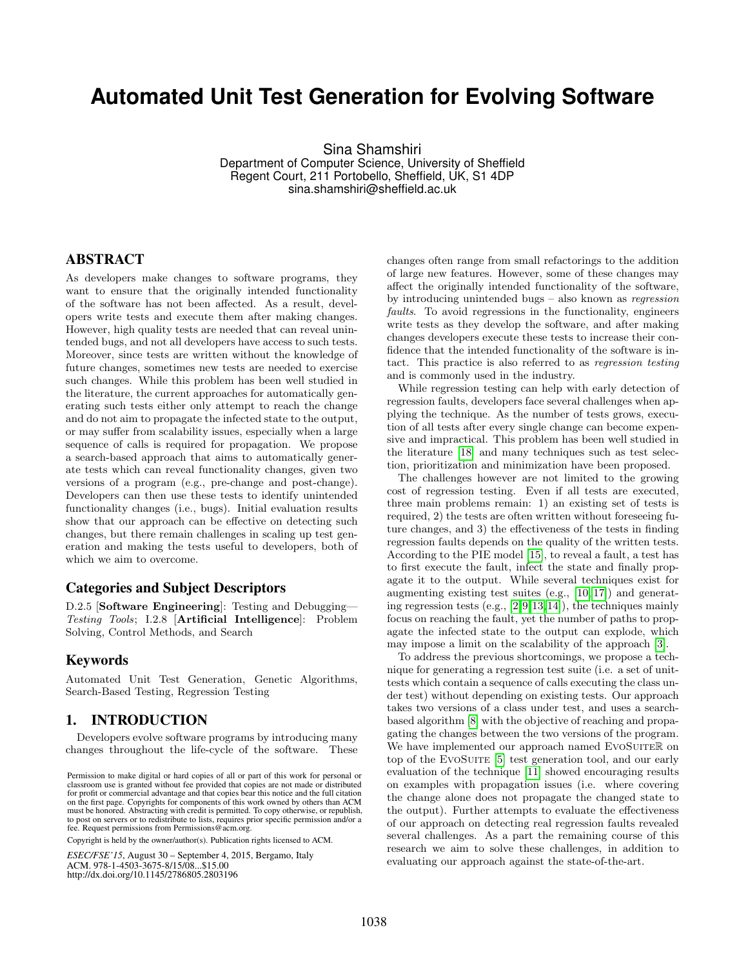# **Automated Unit Test Generation for Evolving Software**

Sina Shamshiri Department of Computer Science, University of Sheffield Regent Court, 211 Portobello, Sheffield, UK, S1 4DP sina.shamshiri@sheffield.ac.uk

# ABSTRACT

As developers make changes to software programs, they want to ensure that the originally intended functionality of the software has not been affected. As a result, developers write tests and execute them after making changes. However, high quality tests are needed that can reveal unintended bugs, and not all developers have access to such tests. Moreover, since tests are written without the knowledge of future changes, sometimes new tests are needed to exercise such changes. While this problem has been well studied in the literature, the current approaches for automatically generating such tests either only attempt to reach the change and do not aim to propagate the infected state to the output, or may suffer from scalability issues, especially when a large sequence of calls is required for propagation. We propose a search-based approach that aims to automatically generate tests which can reveal functionality changes, given two versions of a program (e.g., pre-change and post-change). Developers can then use these tests to identify unintended functionality changes (i.e., bugs). Initial evaluation results show that our approach can be effective on detecting such changes, but there remain challenges in scaling up test generation and making the tests useful to developers, both of which we aim to overcome.

# Categories and Subject Descriptors

D.2.5 [Software Engineering]: Testing and Debugging— Testing Tools; I.2.8 [Artificial Intelligence]: Problem Solving, Control Methods, and Search

## Keywords

Automated Unit Test Generation, Genetic Algorithms, Search-Based Testing, Regression Testing

# <span id="page-0-0"></span>1. INTRODUCTION

Developers evolve software programs by introducing many changes throughout the life-cycle of the software. These

Copyright is held by the owner/author(s). Publication rights licensed to ACM.

*ESEC/FSE'15*, August 30 – September 4, 2015, Bergamo, Italy ACM. 978-1-4503-3675-8/15/08...\$15.00 http://dx.doi.org/10.1145/2786805.2803196

changes often range from small refactorings to the addition of large new features. However, some of these changes may affect the originally intended functionality of the software, by introducing unintended bugs – also known as regression faults. To avoid regressions in the functionality, engineers write tests as they develop the software, and after making changes developers execute these tests to increase their confidence that the intended functionality of the software is intact. This practice is also referred to as regression testing and is commonly used in the industry.

While regression testing can help with early detection of regression faults, developers face several challenges when applying the technique. As the number of tests grows, execution of all tests after every single change can become expensive and impractical. This problem has been well studied in the literature [\[18\]](#page-3-0) and many techniques such as test selection, prioritization and minimization have been proposed.

The challenges however are not limited to the growing cost of regression testing. Even if all tests are executed, three main problems remain: 1) an existing set of tests is required, 2) the tests are often written without foreseeing future changes, and 3) the effectiveness of the tests in finding regression faults depends on the quality of the written tests. According to the PIE model [\[15\]](#page-3-1), to reveal a fault, a test has to first execute the fault, infect the state and finally propagate it to the output. While several techniques exist for augmenting existing test suites (e.g., [\[10,](#page-3-2) [17\]](#page-3-3)) and generating regression tests (e.g., [\[2,](#page-3-4)[9,](#page-3-5)[13,](#page-3-6)[14\]](#page-3-7)), the techniques mainly focus on reaching the fault, yet the number of paths to propagate the infected state to the output can explode, which may impose a limit on the scalability of the approach [\[3\]](#page-3-8).

To address the previous shortcomings, we propose a technique for generating a regression test suite (i.e. a set of unittests which contain a sequence of calls executing the class under test) without depending on existing tests. Our approach takes two versions of a class under test, and uses a searchbased algorithm [\[8\]](#page-3-9) with the objective of reaching and propagating the changes between the two versions of the program. We have implemented our approach named EVOSUITER on top of the EVOSUITE [\[5\]](#page-3-10) test generation tool, and our early evaluation of the technique [\[11\]](#page-3-11) showed encouraging results on examples with propagation issues (i.e. where covering the change alone does not propagate the changed state to the output). Further attempts to evaluate the effectiveness of our approach on detecting real regression faults revealed several challenges. As a part the remaining course of this research we aim to solve these challenges, in addition to evaluating our approach against the state-of-the-art.

Permission to make digital or hard copies of all or part of this work for personal or classroom use is granted without fee provided that copies are not made or distributed for profit or commercial advantage and that copies bear this notice and the full citation on the first page. Copyrights for components of this work owned by others than ACM must be honored. Abstracting with credit is permitted. To copy otherwise, or republish, to post on servers or to redistribute to lists, requires prior specific permission and/or a fee. Request permissions from Permissions@acm.org.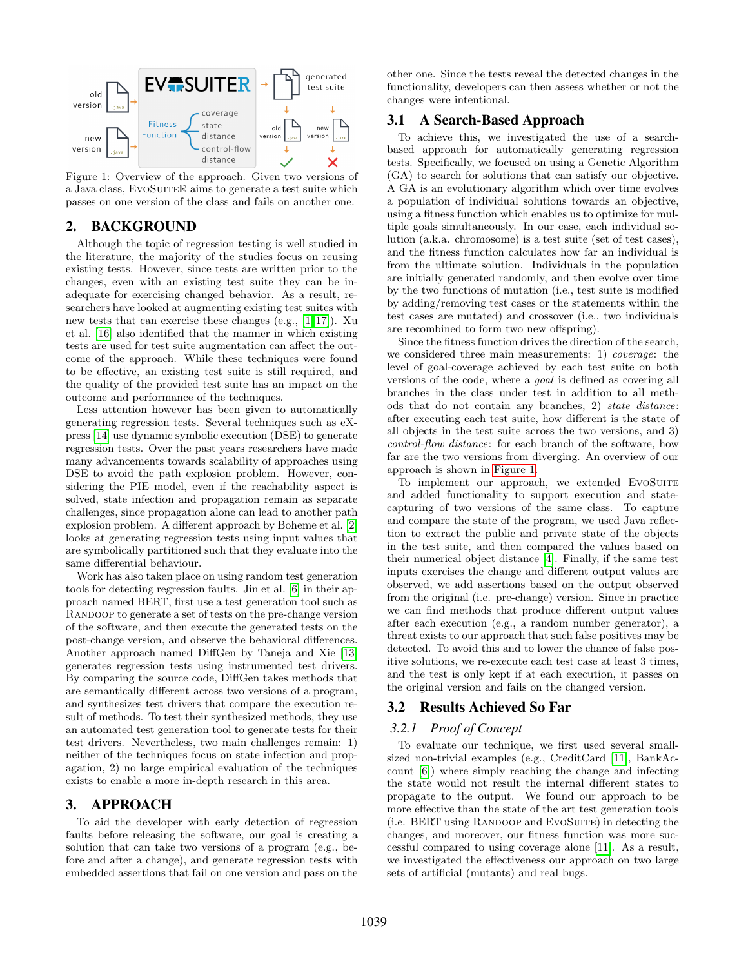<span id="page-1-0"></span>

Figure 1: Overview of the approach. Given two versions of a Java class, EVOSUITER aims to generate a test suite which passes on one version of the class and fails on another one.

# 2. BACKGROUND

Although the topic of regression testing is well studied in the literature, the majority of the studies focus on reusing existing tests. However, since tests are written prior to the changes, even with an existing test suite they can be inadequate for exercising changed behavior. As a result, researchers have looked at augmenting existing test suites with new tests that can exercise these changes (e.g., [\[1,](#page-3-12) [17\]](#page-3-3)). Xu et al. [\[16\]](#page-3-13) also identified that the manner in which existing tests are used for test suite augmentation can affect the outcome of the approach. While these techniques were found to be effective, an existing test suite is still required, and the quality of the provided test suite has an impact on the outcome and performance of the techniques.

Less attention however has been given to automatically generating regression tests. Several techniques such as eXpress [\[14\]](#page-3-7) use dynamic symbolic execution (DSE) to generate regression tests. Over the past years researchers have made many advancements towards scalability of approaches using DSE to avoid the path explosion problem. However, considering the PIE model, even if the reachability aspect is solved, state infection and propagation remain as separate challenges, since propagation alone can lead to another path explosion problem. A different approach by Boheme et al. [\[2\]](#page-3-4) looks at generating regression tests using input values that are symbolically partitioned such that they evaluate into the same differential behaviour.

Work has also taken place on using random test generation tools for detecting regression faults. Jin et al. [\[6\]](#page-3-14) in their approach named BERT, first use a test generation tool such as RANDOOP to generate a set of tests on the pre-change version of the software, and then execute the generated tests on the post-change version, and observe the behavioral differences. Another approach named DiffGen by Taneja and Xie [\[13\]](#page-3-6) generates regression tests using instrumented test drivers. By comparing the source code, DiffGen takes methods that are semantically different across two versions of a program, and synthesizes test drivers that compare the execution result of methods. To test their synthesized methods, they use an automated test generation tool to generate tests for their test drivers. Nevertheless, two main challenges remain: 1) neither of the techniques focus on state infection and propagation, 2) no large empirical evaluation of the techniques exists to enable a more in-depth research in this area.

# <span id="page-1-1"></span>3. APPROACH

To aid the developer with early detection of regression faults before releasing the software, our goal is creating a solution that can take two versions of a program (e.g., before and after a change), and generate regression tests with embedded assertions that fail on one version and pass on the other one. Since the tests reveal the detected changes in the functionality, developers can then assess whether or not the changes were intentional.

# 3.1 A Search-Based Approach

To achieve this, we investigated the use of a searchbased approach for automatically generating regression tests. Specifically, we focused on using a Genetic Algorithm (GA) to search for solutions that can satisfy our objective. A GA is an evolutionary algorithm which over time evolves a population of individual solutions towards an objective, using a fitness function which enables us to optimize for multiple goals simultaneously. In our case, each individual solution (a.k.a. chromosome) is a test suite (set of test cases), and the fitness function calculates how far an individual is from the ultimate solution. Individuals in the population are initially generated randomly, and then evolve over time by the two functions of mutation (i.e., test suite is modified by adding/removing test cases or the statements within the test cases are mutated) and crossover (i.e., two individuals are recombined to form two new offspring).

Since the fitness function drives the direction of the search, we considered three main measurements: 1) coverage: the level of goal-coverage achieved by each test suite on both versions of the code, where a goal is defined as covering all branches in the class under test in addition to all methods that do not contain any branches, 2) state distance: after executing each test suite, how different is the state of all objects in the test suite across the two versions, and 3) control-flow distance: for each branch of the software, how far are the two versions from diverging. An overview of our approach is shown in [Figure 1.](#page-1-0)

To implement our approach, we extended EVOSUITE and added functionality to support execution and statecapturing of two versions of the same class. To capture and compare the state of the program, we used Java reflection to extract the public and private state of the objects in the test suite, and then compared the values based on their numerical object distance [\[4\]](#page-3-15). Finally, if the same test inputs exercises the change and different output values are observed, we add assertions based on the output observed from the original (i.e. pre-change) version. Since in practice we can find methods that produce different output values after each execution (e.g., a random number generator), a threat exists to our approach that such false positives may be detected. To avoid this and to lower the chance of false positive solutions, we re-execute each test case at least 3 times, and the test is only kept if at each execution, it passes on the original version and fails on the changed version.

## 3.2 Results Achieved So Far

### *3.2.1 Proof of Concept*

To evaluate our technique, we first used several smallsized non-trivial examples (e.g., CreditCard [\[11\]](#page-3-11), BankAccount [\[6\]](#page-3-14)) where simply reaching the change and infecting the state would not result the internal different states to propagate to the output. We found our approach to be more effective than the state of the art test generation tools (i.e. BERT using RANDOOP and EVOSUITE) in detecting the changes, and moreover, our fitness function was more successful compared to using coverage alone [\[11\]](#page-3-11). As a result, we investigated the effectiveness our approach on two large sets of artificial (mutants) and real bugs.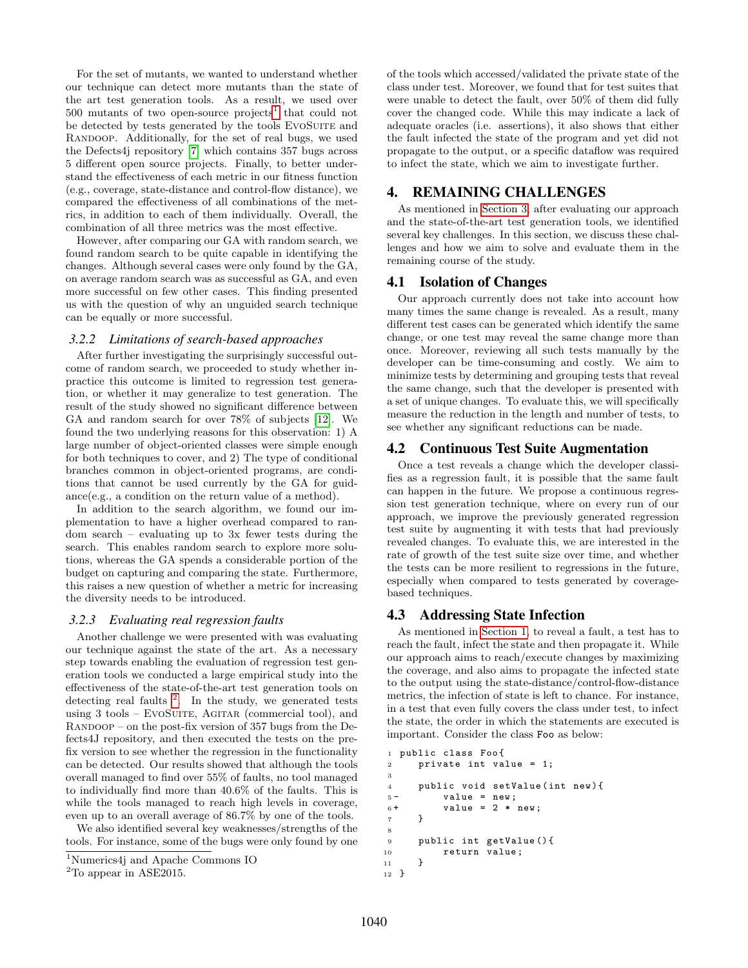For the set of mutants, we wanted to understand whether our technique can detect more mutants than the state of the art test generation tools. As a result, we used over  $500$  mutants of two open-source projects<sup>[1](#page-2-0)</sup> that could not be detected by tests generated by the tools EVOSUITE and RANDOOP. Additionally, for the set of real bugs, we used the Defects4j repository [\[7\]](#page-3-16) which contains 357 bugs across 5 different open source projects. Finally, to better understand the effectiveness of each metric in our fitness function (e.g., coverage, state-distance and control-flow distance), we compared the effectiveness of all combinations of the metrics, in addition to each of them individually. Overall, the combination of all three metrics was the most effective.

However, after comparing our GA with random search, we found random search to be quite capable in identifying the changes. Although several cases were only found by the GA, on average random search was as successful as GA, and even more successful on few other cases. This finding presented us with the question of why an unguided search technique can be equally or more successful.

#### *3.2.2 Limitations of search-based approaches*

After further investigating the surprisingly successful outcome of random search, we proceeded to study whether inpractice this outcome is limited to regression test generation, or whether it may generalize to test generation. The result of the study showed no significant difference between GA and random search for over 78% of subjects [\[12\]](#page-3-17). We found the two underlying reasons for this observation: 1) A large number of object-oriented classes were simple enough for both techniques to cover, and 2) The type of conditional branches common in object-oriented programs, are conditions that cannot be used currently by the GA for guidance(e.g., a condition on the return value of a method).

In addition to the search algorithm, we found our implementation to have a higher overhead compared to random search – evaluating up to 3x fewer tests during the search. This enables random search to explore more solutions, whereas the GA spends a considerable portion of the budget on capturing and comparing the state. Furthermore, this raises a new question of whether a metric for increasing the diversity needs to be introduced.

#### *3.2.3 Evaluating real regression faults*

Another challenge we were presented with was evaluating our technique against the state of the art. As a necessary step towards enabling the evaluation of regression test generation tools we conducted a large empirical study into the effectiveness of the state-of-the-art test generation tools on detecting real faults  $2$ . In the study, we generated tests using  $3$  tools – EVOSUITE, AGITAR (commercial tool), and  $\text{RANDOOP}$  – on the post-fix version of 357 bugs from the Defects4J repository, and then executed the tests on the prefix version to see whether the regression in the functionality can be detected. Our results showed that although the tools overall managed to find over 55% of faults, no tool managed to individually find more than 40.6% of the faults. This is while the tools managed to reach high levels in coverage, even up to an overall average of 86.7% by one of the tools.

We also identified several key weaknesses/strengths of the tools. For instance, some of the bugs were only found by one

<span id="page-2-1"></span> $^2\!$  To appear in ASE<br>2015.

of the tools which accessed/validated the private state of the class under test. Moreover, we found that for test suites that were unable to detect the fault, over 50% of them did fully cover the changed code. While this may indicate a lack of adequate oracles (i.e. assertions), it also shows that either the fault infected the state of the program and yet did not propagate to the output, or a specific dataflow was required to infect the state, which we aim to investigate further.

# 4. REMAINING CHALLENGES

As mentioned in [Section 3,](#page-1-1) after evaluating our approach and the state-of-the-art test generation tools, we identified several key challenges. In this section, we discuss these challenges and how we aim to solve and evaluate them in the remaining course of the study.

# 4.1 Isolation of Changes

Our approach currently does not take into account how many times the same change is revealed. As a result, many different test cases can be generated which identify the same change, or one test may reveal the same change more than once. Moreover, reviewing all such tests manually by the developer can be time-consuming and costly. We aim to minimize tests by determining and grouping tests that reveal the same change, such that the developer is presented with a set of unique changes. To evaluate this, we will specifically measure the reduction in the length and number of tests, to see whether any significant reductions can be made.

# 4.2 Continuous Test Suite Augmentation

Once a test reveals a change which the developer classifies as a regression fault, it is possible that the same fault can happen in the future. We propose a continuous regression test generation technique, where on every run of our approach, we improve the previously generated regression test suite by augmenting it with tests that had previously revealed changes. To evaluate this, we are interested in the rate of growth of the test suite size over time, and whether the tests can be more resilient to regressions in the future, especially when compared to tests generated by coveragebased techniques.

# 4.3 Addressing State Infection

As mentioned in [Section 1,](#page-0-0) to reveal a fault, a test has to reach the fault, infect the state and then propagate it. While our approach aims to reach/execute changes by maximizing the coverage, and also aims to propagate the infected state to the output using the state-distance/control-flow-distance metrics, the infection of state is left to chance. For instance, in a test that even fully covers the class under test, to infect the state, the order in which the statements are executed is important. Consider the class Foo as below:

```
1 public class Foo{
2 private int value = 1;
3
4 public void setValue (int new) {
5 - value = new;
6 + value = 2 * new;
7 }
8
9 public int getValue () {
10 return value;<br>11 }
11 }
12 }
```
<span id="page-2-0"></span><sup>1</sup>Numerics4j and Apache Commons IO